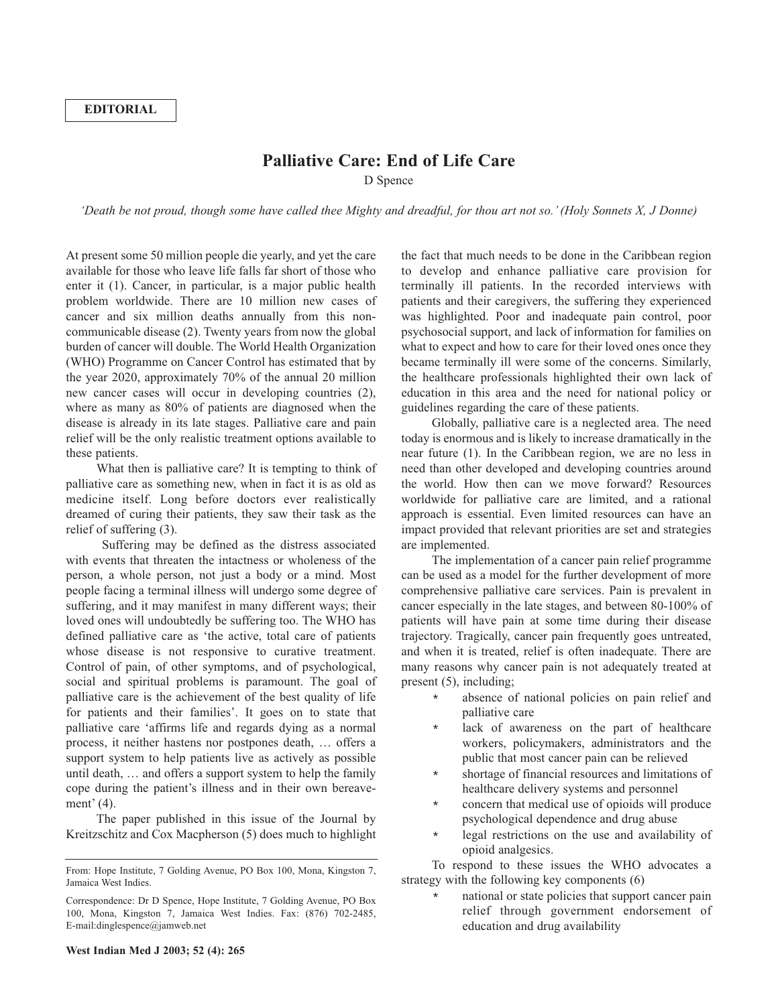## **Palliative Care: End of Life Care**

D Spence

'Death be not proud, though some have called thee Mighty and dreadful, for thou art not so.' (Holy Sonnets X, J Donne)

At present some 50 million people die yearly, and yet the care available for those who leave life falls far short of those who enter it (1). Cancer, in particular, is a major public health problem worldwide. There are 10 million new cases of cancer and six million deaths annually from this noncommunicable disease (2). Twenty years from now the global burden of cancer will double. The World Health Organization (WHO) Programme on Cancer Control has estimated that by the year 2020, approximately 70% of the annual 20 million new cancer cases will occur in developing countries (2), where as many as 80% of patients are diagnosed when the disease is already in its late stages. Palliative care and pain relief will be the only realistic treatment options available to these patients.

What then is palliative care? It is tempting to think of palliative care as something new, when in fact it is as old as medicine itself. Long before doctors ever realistically dreamed of curing their patients, they saw their task as the relief of suffering (3).

Suffering may be defined as the distress associated with events that threaten the intactness or wholeness of the person, a whole person, not just a body or a mind. Most people facing a terminal illness will undergo some degree of suffering, and it may manifest in many different ways; their loved ones will undoubtedly be suffering too. The WHO has defined palliative care as 'the active, total care of patients whose disease is not responsive to curative treatment. Control of pain, of other symptoms, and of psychological, social and spiritual problems is paramount. The goal of palliative care is the achievement of the best quality of life for patients and their families'. It goes on to state that palliative care 'affirms life and regards dying as a normal process, it neither hastens nor postpones death, … offers a support system to help patients live as actively as possible until death, … and offers a support system to help the family cope during the patient's illness and in their own bereavement' (4).

The paper published in this issue of the Journal by Kreitzschitz and Cox Macpherson (5) does much to highlight the fact that much needs to be done in the Caribbean region to develop and enhance palliative care provision for terminally ill patients. In the recorded interviews with patients and their caregivers, the suffering they experienced was highlighted. Poor and inadequate pain control, poor psychosocial support, and lack of information for families on what to expect and how to care for their loved ones once they became terminally ill were some of the concerns. Similarly, the healthcare professionals highlighted their own lack of education in this area and the need for national policy or guidelines regarding the care of these patients.

Globally, palliative care is a neglected area. The need today is enormous and is likely to increase dramatically in the near future (1). In the Caribbean region, we are no less in need than other developed and developing countries around the world. How then can we move forward? Resources worldwide for palliative care are limited, and a rational approach is essential. Even limited resources can have an impact provided that relevant priorities are set and strategies are implemented.

The implementation of a cancer pain relief programme can be used as a model for the further development of more comprehensive palliative care services. Pain is prevalent in cancer especially in the late stages, and between 80-100% of patients will have pain at some time during their disease trajectory. Tragically, cancer pain frequently goes untreated, and when it is treated, relief is often inadequate. There are many reasons why cancer pain is not adequately treated at present (5), including;

- absence of national policies on pain relief and palliative care
- lack of awareness on the part of healthcare workers, policymakers, administrators and the public that most cancer pain can be relieved
- shortage of financial resources and limitations of healthcare delivery systems and personnel
- concern that medical use of opioids will produce psychological dependence and drug abuse
- legal restrictions on the use and availability of opioid analgesics.

To respond to these issues the WHO advocates a strategy with the following key components (6)

> national or state policies that support cancer pain relief through government endorsement of education and drug availability

From: Hope Institute, 7 Golding Avenue, PO Box 100, Mona, Kingston 7, Jamaica West Indies.

Correspondence: Dr D Spence, Hope Institute, 7 Golding Avenue, PO Box 100, Mona, Kingston 7, Jamaica West Indies. Fax: (876) 702-2485, E-mail:dinglespence@jamweb.net